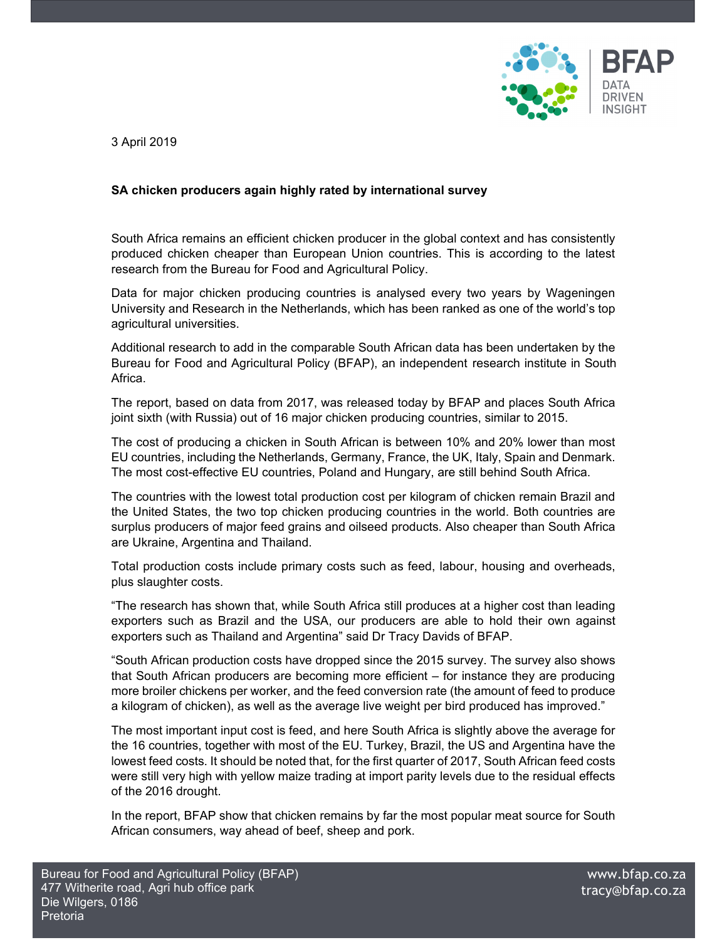

3 April 2019

## **SA chicken producers again highly rated by international survey**

South Africa remains an efficient chicken producer in the global context and has consistently produced chicken cheaper than European Union countries. This is according to the latest research from the Bureau for Food and Agricultural Policy.

Data for major chicken producing countries is analysed every two years by Wageningen University and Research in the Netherlands, which has been ranked as one of the world's top agricultural universities.

Additional research to add in the comparable South African data has been undertaken by the Bureau for Food and Agricultural Policy (BFAP), an independent research institute in South Africa.

The report, based on data from 2017, was released today by BFAP and places South Africa joint sixth (with Russia) out of 16 major chicken producing countries, similar to 2015.

The cost of producing a chicken in South African is between 10% and 20% lower than most EU countries, including the Netherlands, Germany, France, the UK, Italy, Spain and Denmark. The most cost-effective EU countries, Poland and Hungary, are still behind South Africa.

The countries with the lowest total production cost per kilogram of chicken remain Brazil and the United States, the two top chicken producing countries in the world. Both countries are surplus producers of major feed grains and oilseed products. Also cheaper than South Africa are Ukraine, Argentina and Thailand.

Total production costs include primary costs such as feed, labour, housing and overheads, plus slaughter costs.

"The research has shown that, while South Africa still produces at a higher cost than leading exporters such as Brazil and the USA, our producers are able to hold their own against exporters such as Thailand and Argentina" said Dr Tracy Davids of BFAP.

"South African production costs have dropped since the 2015 survey. The survey also shows that South African producers are becoming more efficient – for instance they are producing more broiler chickens per worker, and the feed conversion rate (the amount of feed to produce a kilogram of chicken), as well as the average live weight per bird produced has improved."

The most important input cost is feed, and here South Africa is slightly above the average for the 16 countries, together with most of the EU. Turkey, Brazil, the US and Argentina have the lowest feed costs. It should be noted that, for the first quarter of 2017, South African feed costs were still very high with yellow maize trading at import parity levels due to the residual effects of the 2016 drought.

In the report, BFAP show that chicken remains by far the most popular meat source for South African consumers, way ahead of beef, sheep and pork.